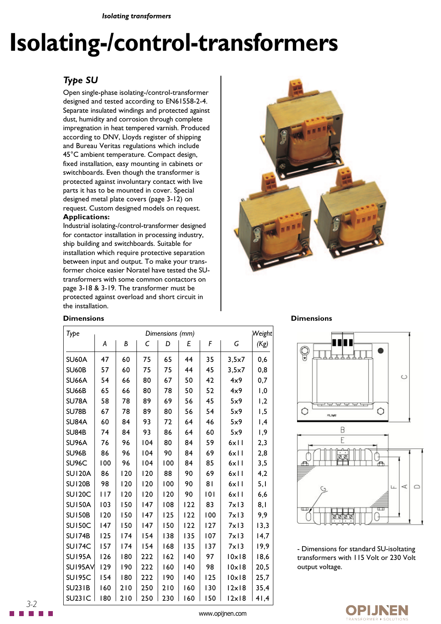*Isolating transformers*

# **Isolating-/control-transformers**

### *Type SU*

Open single-phase isolating-/control-transformer designed and tested according to EN61558-2-4. Separate insulated windings and protected against dust, humidity and corrosion through complete impregnation in heat tempered varnish. Produced according to DNV, Lloyds register of shipping and Bureau Veritas regulations which include 45°C ambient temperature. Compact design, fixed installation, easy mounting in cabinets or switchboards. Even though the transformer is protected against involuntary contact with live parts it has to be mounted in cover. Special designed metal plate covers (page 3-12) on request. Custom designed models on request.

#### **Applications:**

Industrial isolating-/control-transformer designed for contactor installation in processing industry, ship building and switchboards. Suitable for installation which require protective separation between input and output. To make your transformer choice easier Noratel have tested the SUtransformers with some common contactors on page 3-18 & 3-19. The transformer must be protected against overload and short circuit in the installation.



#### **Dimensions**

| Type               | Dimensions (mm) |     |     |     |     |     |                |      |
|--------------------|-----------------|-----|-----|-----|-----|-----|----------------|------|
|                    | Α               | В   | С   | D   | E   | F   | G              | (Kg) |
| <b>SU60A</b>       | 47              | 60  | 75  | 65  | 44  | 35  | 3,5x7          | 0,6  |
| <b>SU60B</b>       | 57              | 60  | 75  | 75  | 44  | 45  | 3,5x7          | 0,8  |
| SU66A              | 54              | 66  | 80  | 67  | 50  | 42  | 4x9            | 0,7  |
| <b>SU66B</b>       | 65              | 66  | 80  | 78  | 50  | 52  | 4x9            | 1,0  |
| <b>SU78A</b>       | 58              | 78  | 89  | 69  | 56  | 45  | 5x9            | 1,2  |
| <b>SU78B</b>       | 67              | 78  | 89  | 80  | 56  | 54  | 5x9            | 1,5  |
| <b>SU84A</b>       | 60              | 84  | 93  | 72  | 64  | 46  | 5x9            | ,4   |
| <b>SU84B</b>       | 74              | 84  | 93  | 86  | 64  | 60  | 5x9            | 1,9  |
| SU96A              | 76              | 96  | 104 | 80  | 84  | 59  | 6x11           | 2,3  |
| SU <sub>96</sub> B | 86              | 96  | 104 | 90  | 84  | 69  | 6x11           | 2,8  |
| SU96C              | 100             | 96  | 104 | 100 | 84  | 85  | 6x11           | 3,5  |
| <b>SU120A</b>      | 86              | 120 | 120 | 88  | 90  | 69  | 6x11           | 4,2  |
| <b>SU120B</b>      | 98              | 120 | 120 | 100 | 90  | 81  | 6x11           | 5,1  |
| <b>SU120C</b>      | 117             | 120 | 120 | 120 | 90  | 101 | 6x11           | 6,6  |
| <b>SU150A</b>      | 103             | 150 | 147 | 108 | 122 | 83  | $7 \times 13$  | 8,1  |
| <b>SU150B</b>      | 120             | 150 | 147 | 125 | 122 | 100 | $7 \times 13$  | 9.9  |
| <b>SU150C</b>      | 147             | 150 | 147 | 150 | 122 | 127 | $7 \times 13$  | 13,3 |
| <b>SU174B</b>      | 125             | 174 | 154 | 138 | 135 | 107 | $7 \times 13$  | 14,7 |
| SUI74C             | 157             | 174 | 154 | 168 | 135 | 137 | $7 \times 13$  | 19,9 |
| <b>SU195A</b>      | 126             | 180 | 222 | 162 | 140 | 97  | 10x18          | 18,6 |
| SUI95AV            | 129             | 190 | 222 | 160 | 140 | 98  | $10 \times 18$ | 20,5 |
| <b>SU195C</b>      | 154             | 180 | 222 | 190 | 140 | 125 | 10x18          | 25,7 |
| <b>SU231B</b>      | 160             | 210 | 250 | 210 | 160 | 130 | 12x18          | 35,4 |
| <b>SU231C</b>      | 180             | 210 | 250 | 230 | 160 | 150 | 2x 8           | 41,4 |

#### **Dimensions**





- Dimensions for standard SU-isoltating transformers with 115 Volt or 230 Volt output voltage.